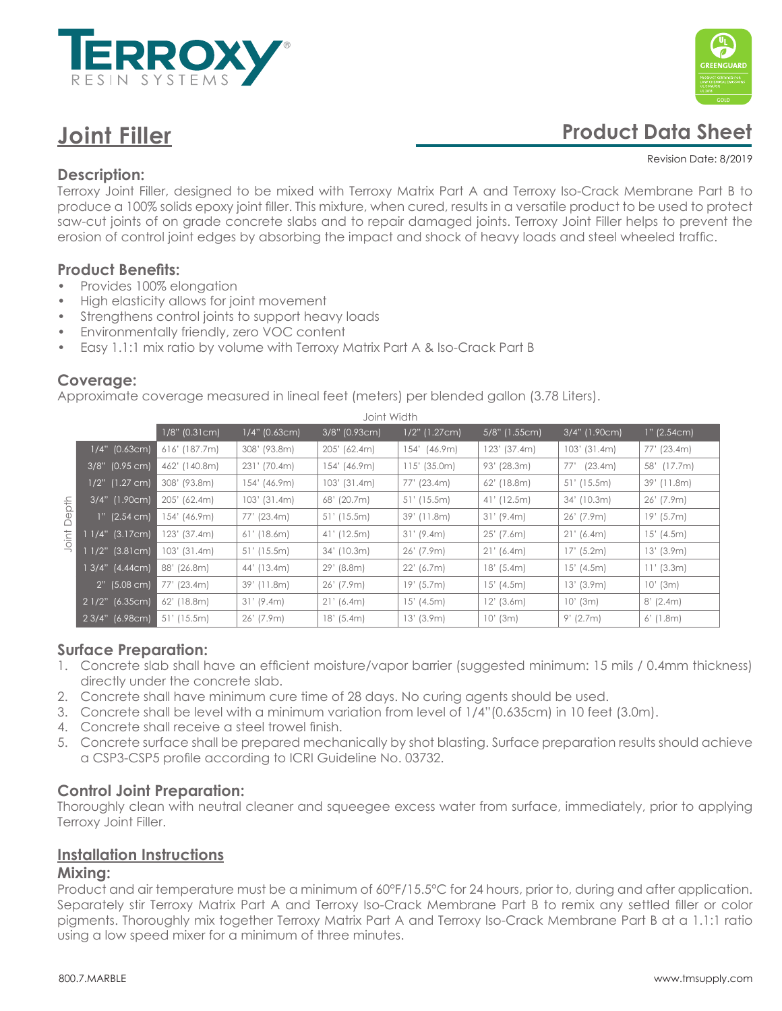

# **Joint Filler**



# **Product Data Sheet**

#### Revision Date: 8/2019

# **Description:**

Terroxy Joint Filler, designed to be mixed with Terroxy Matrix Part A and Terroxy Iso-Crack Membrane Part B to produce a 100% solids epoxy joint filler. This mixture, when cured, results in a versatile product to be used to protect saw-cut joints of on grade concrete slabs and to repair damaged joints. Terroxy Joint Filler helps to prevent the erosion of control joint edges by absorbing the impact and shock of heavy loads and steel wheeled traffic.

# **Product Benefits:**

- Provides 100% elongation
- High elasticity allows for joint movement
- Strengthens control joints to support heavy loads
- Environmentally friendly, zero VOC content
- Easy 1.1:1 mix ratio by volume with Terroxy Matrix Part A & Iso-Crack Part B

#### **Coverage:**

Approximate coverage measured in lineal feet (meters) per blended gallon (3.78 Liters).

| Joint Width    |                   |                  |                 |                |                 |                |                |               |  |
|----------------|-------------------|------------------|-----------------|----------------|-----------------|----------------|----------------|---------------|--|
|                |                   | $1/8$ " (0.31cm) | $1/4"$ (0.63cm) | 3/8" (0.93cm)  | $1/2"$ (1.27cm) | 5/8" (1.55cm)  | 3/4" (1.90cm)  | $1"$ (2.54cm) |  |
| Depth<br>Joint | $1/4"$ (0.63cm)   | $616'$ (187.7m)  | 308' (93.8m)    | 205' (62.4m)   | 154' (46.9m)    | $123'$ (37.4m) | $103'$ (31.4m) | 77' (23.4m)   |  |
|                | $3/8$ " (0.95 cm) | 462' (140.8m)    | 231' (70.4m)    | 154' (46.9m)   | $115'$ (35.0m)  | 93' (28.3m)    | 77' (23.4m)    | 58' (17.7m)   |  |
|                | 1/2" (1.27 cm)    | 308' (93.8m)     | 154' (46.9m)    | $103'$ (31.4m) | 77' (23.4m)     | $62'$ (18.8m)  | $51'$ (15.5m)  | 39' (11.8m)   |  |
|                | 3/4" (1.90cm)     | 205' (62.4m)     | $103'$ (31.4m)  | 68' (20.7m)    | $51'$ (15.5m)   | $41'$ (12.5m)  | $34'$ (10.3m)  | $26'$ (7.9m)  |  |
|                | $1"$ (2.54 cm)    | 154' (46.9m)     | 77' (23.4m)     | $51'$ (15.5m)  | $39'$ (11.8m)   | 31' (9.4m)     | $26'$ (7.9m)   | $19'$ (5.7m)  |  |
|                | $11/4"$ (3.17cm). | 123' (37.4m)     | $61'$ (18.6m)   | $41'$ (12.5m)  | 31' (9.4m)      | $25'$ (7.6m)   | 21' (6.4m)     | $15'$ (4.5m)  |  |
|                | $11/2"$ (3.81cm)  | $103'$ (31.4m)   | $51'$ (15.5m)   | $34'$ (10.3m)  | $26'$ (7.9m)    | 21' (6.4m)     | $17'$ (5.2m)   | $13'$ (3.9m)  |  |
|                | 1 3/4" (4.44cm)   | 88' (26.8m)      | 44' (13.4m)     | $29'$ (8.8m)   | 22' (6.7m)      | $18'$ (5.4m)   | $15'$ (4.5m)   | $11'$ (3.3m)  |  |
|                | $2"$ (5.08 cm)    | 77' (23.4m)      | 39' (11.8m)     | 26' (7.9m)     | $19'$ (5.7m)    | $15'$ (4.5m)   | $13'$ (3.9m)   | $10'$ (3m)    |  |
|                | 2 1/2" (6.35cm)   | $62'$ (18.8m)    | 31' (9.4m)      | 21' (6.4m)     | $15'$ (4.5m)    | $12'$ (3.6m)   | $10'$ (3m)     | $8'$ (2.4m)   |  |
|                | $23/4"$ (6.98cm)  | $51'$ (15.5m)    | $26'$ (7.9m)    | $18'$ (5.4m)   | $13'$ (3.9m)    | $10'$ (3m)     | $9'$ (2.7m)    | $6'$ (1.8m)   |  |

# **Surface Preparation:**

- 1. Concrete slab shall have an efficient moisture/vapor barrier (suggested minimum: 15 mils / 0.4mm thickness) directly under the concrete slab.
- 2. Concrete shall have minimum cure time of 28 days. No curing agents should be used.
- 3. Concrete shall be level with a minimum variation from level of 1/4"(0.635cm) in 10 feet (3.0m).
- 4. Concrete shall receive a steel trowel finish.
- 5. Concrete surface shall be prepared mechanically by shot blasting. Surface preparation results should achieve a CSP3-CSP5 profile according to ICRI Guideline No. 03732.

# **Control Joint Preparation:**

Thoroughly clean with neutral cleaner and squeegee excess water from surface, immediately, prior to applying Terroxy Joint Filler.

# **Installation Instructions**

#### **Mixing:**

Product and air temperature must be a minimum of 60°F/15.5°C for 24 hours, prior to, during and after application. Separately stir Terroxy Matrix Part A and Terroxy Iso-Crack Membrane Part B to remix any settled filler or color pigments. Thoroughly mix together Terroxy Matrix Part A and Terroxy Iso-Crack Membrane Part B at a 1.1:1 ratio using a low speed mixer for a minimum of three minutes.